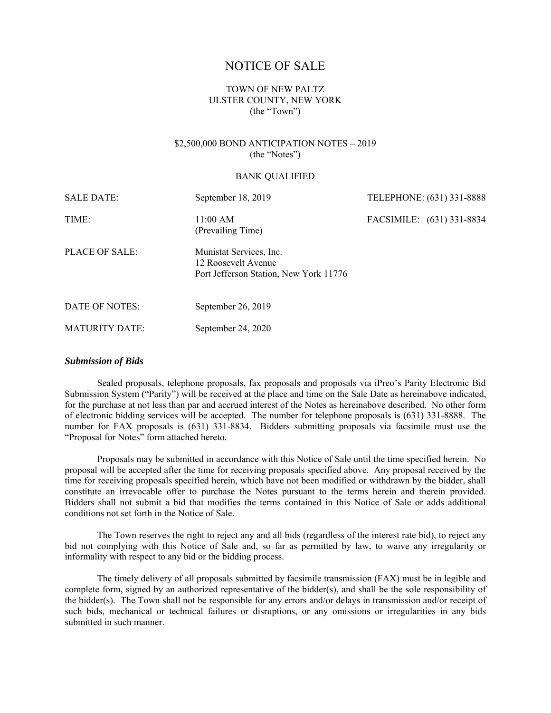# NOTICE OF SALE

# TOWN OF NEW PALTZ ULSTER COUNTY, NEW YORK (the "Town")

## \$2,500,000 BOND ANTICIPATION NOTES – 2019 (the "Notes")

#### BANK QUALIFIED

| <b>SALE DATE:</b>     | September 18, 2019                                                                       | TELEPHONE: (631) 331-8888 |  |
|-----------------------|------------------------------------------------------------------------------------------|---------------------------|--|
| TIME:                 | 11:00 AM<br>(Prevailing Time)                                                            | FACSIMILE: (631) 331-8834 |  |
| PLACE OF SALE:        | Munistat Services, Inc.<br>12 Roosevelt Avenue<br>Port Jefferson Station, New York 11776 |                           |  |
| DATE OF NOTES:        | September 26, 2019                                                                       |                           |  |
| <b>MATURITY DATE:</b> | September 24, 2020                                                                       |                           |  |

#### *Submission of Bids*

Sealed proposals, telephone proposals, fax proposals and proposals via iPreo's Parity Electronic Bid Submission System ("Parity") will be received at the place and time on the Sale Date as hereinabove indicated, for the purchase at not less than par and accrued interest of the Notes as hereinabove described. No other form of electronic bidding services will be accepted. The number for telephone proposals is (631) 331-8888. The number for FAX proposals is (631) 331-8834. Bidders submitting proposals via facsimile must use the "Proposal for Notes" form attached hereto.

Proposals may be submitted in accordance with this Notice of Sale until the time specified herein. No proposal will be accepted after the time for receiving proposals specified above. Any proposal received by the time for receiving proposals specified herein, which have not been modified or withdrawn by the bidder, shall constitute an irrevocable offer to purchase the Notes pursuant to the terms herein and therein provided. Bidders shall not submit a bid that modifies the terms contained in this Notice of Sale or adds additional conditions not set forth in the Notice of Sale.

The Town reserves the right to reject any and all bids (regardless of the interest rate bid), to reject any bid not complying with this Notice of Sale and, so far as permitted by law, to waive any irregularity or informality with respect to any bid or the bidding process.

The timely delivery of all proposals submitted by facsimile transmission (FAX) must be in legible and complete form, signed by an authorized representative of the bidder(s), and shall be the sole responsibility of the bidder(s). The Town shall not be responsible for any errors and/or delays in transmission and/or receipt of such bids, mechanical or technical failures or disruptions, or any omissions or irregularities in any bids submitted in such manner.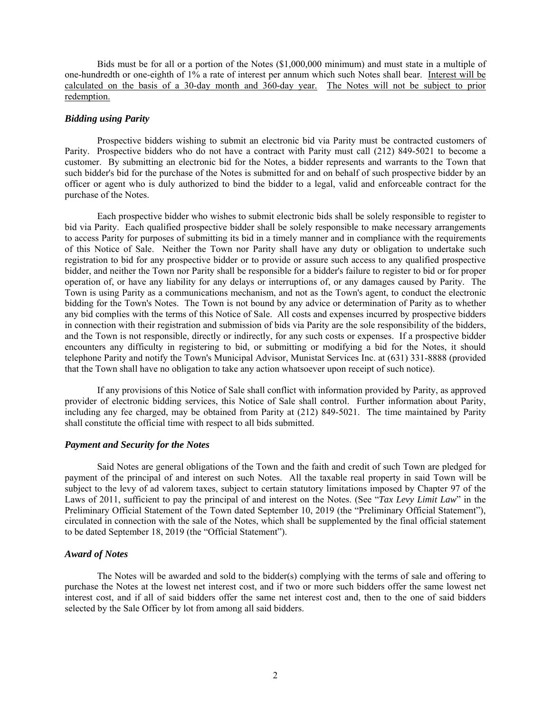Bids must be for all or a portion of the Notes (\$1,000,000 minimum) and must state in a multiple of one-hundredth or one-eighth of 1% a rate of interest per annum which such Notes shall bear. Interest will be calculated on the basis of a 30-day month and 360-day year. The Notes will not be subject to prior redemption.

## *Bidding using Parity*

Prospective bidders wishing to submit an electronic bid via Parity must be contracted customers of Parity. Prospective bidders who do not have a contract with Parity must call (212) 849-5021 to become a customer. By submitting an electronic bid for the Notes, a bidder represents and warrants to the Town that such bidder's bid for the purchase of the Notes is submitted for and on behalf of such prospective bidder by an officer or agent who is duly authorized to bind the bidder to a legal, valid and enforceable contract for the purchase of the Notes.

Each prospective bidder who wishes to submit electronic bids shall be solely responsible to register to bid via Parity. Each qualified prospective bidder shall be solely responsible to make necessary arrangements to access Parity for purposes of submitting its bid in a timely manner and in compliance with the requirements of this Notice of Sale. Neither the Town nor Parity shall have any duty or obligation to undertake such registration to bid for any prospective bidder or to provide or assure such access to any qualified prospective bidder, and neither the Town nor Parity shall be responsible for a bidder's failure to register to bid or for proper operation of, or have any liability for any delays or interruptions of, or any damages caused by Parity. The Town is using Parity as a communications mechanism, and not as the Town's agent, to conduct the electronic bidding for the Town's Notes. The Town is not bound by any advice or determination of Parity as to whether any bid complies with the terms of this Notice of Sale. All costs and expenses incurred by prospective bidders in connection with their registration and submission of bids via Parity are the sole responsibility of the bidders, and the Town is not responsible, directly or indirectly, for any such costs or expenses. If a prospective bidder encounters any difficulty in registering to bid, or submitting or modifying a bid for the Notes, it should telephone Parity and notify the Town's Municipal Advisor, Munistat Services Inc. at (631) 331-8888 (provided that the Town shall have no obligation to take any action whatsoever upon receipt of such notice).

If any provisions of this Notice of Sale shall conflict with information provided by Parity, as approved provider of electronic bidding services, this Notice of Sale shall control. Further information about Parity, including any fee charged, may be obtained from Parity at (212) 849-5021. The time maintained by Parity shall constitute the official time with respect to all bids submitted.

## *Payment and Security for the Notes*

Said Notes are general obligations of the Town and the faith and credit of such Town are pledged for payment of the principal of and interest on such Notes. All the taxable real property in said Town will be subject to the levy of ad valorem taxes, subject to certain statutory limitations imposed by Chapter 97 of the Laws of 2011, sufficient to pay the principal of and interest on the Notes. (See "*Tax Levy Limit Law*" in the Preliminary Official Statement of the Town dated September 10, 2019 (the "Preliminary Official Statement"), circulated in connection with the sale of the Notes, which shall be supplemented by the final official statement to be dated September 18, 2019 (the "Official Statement").

## *Award of Notes*

The Notes will be awarded and sold to the bidder(s) complying with the terms of sale and offering to purchase the Notes at the lowest net interest cost, and if two or more such bidders offer the same lowest net interest cost, and if all of said bidders offer the same net interest cost and, then to the one of said bidders selected by the Sale Officer by lot from among all said bidders.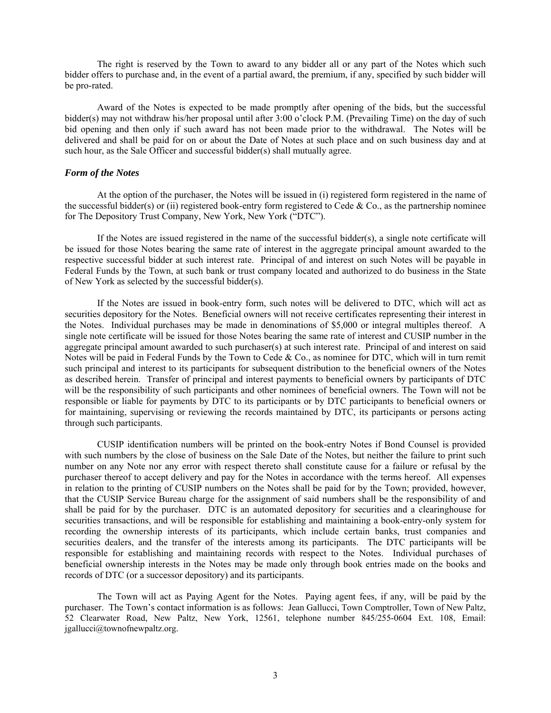The right is reserved by the Town to award to any bidder all or any part of the Notes which such bidder offers to purchase and, in the event of a partial award, the premium, if any, specified by such bidder will be pro-rated.

Award of the Notes is expected to be made promptly after opening of the bids, but the successful bidder(s) may not withdraw his/her proposal until after 3:00 o'clock P.M. (Prevailing Time) on the day of such bid opening and then only if such award has not been made prior to the withdrawal. The Notes will be delivered and shall be paid for on or about the Date of Notes at such place and on such business day and at such hour, as the Sale Officer and successful bidder(s) shall mutually agree.

## *Form of the Notes*

At the option of the purchaser, the Notes will be issued in (i) registered form registered in the name of the successful bidder(s) or (ii) registered book-entry form registered to Cede  $& Co.,$  as the partnership nominee for The Depository Trust Company, New York, New York ("DTC").

If the Notes are issued registered in the name of the successful bidder(s), a single note certificate will be issued for those Notes bearing the same rate of interest in the aggregate principal amount awarded to the respective successful bidder at such interest rate. Principal of and interest on such Notes will be payable in Federal Funds by the Town, at such bank or trust company located and authorized to do business in the State of New York as selected by the successful bidder(s).

If the Notes are issued in book-entry form, such notes will be delivered to DTC, which will act as securities depository for the Notes. Beneficial owners will not receive certificates representing their interest in the Notes. Individual purchases may be made in denominations of \$5,000 or integral multiples thereof. A single note certificate will be issued for those Notes bearing the same rate of interest and CUSIP number in the aggregate principal amount awarded to such purchaser(s) at such interest rate. Principal of and interest on said Notes will be paid in Federal Funds by the Town to Cede  $& Co.$  as nominee for DTC, which will in turn remit such principal and interest to its participants for subsequent distribution to the beneficial owners of the Notes as described herein. Transfer of principal and interest payments to beneficial owners by participants of DTC will be the responsibility of such participants and other nominees of beneficial owners. The Town will not be responsible or liable for payments by DTC to its participants or by DTC participants to beneficial owners or for maintaining, supervising or reviewing the records maintained by DTC, its participants or persons acting through such participants.

CUSIP identification numbers will be printed on the book-entry Notes if Bond Counsel is provided with such numbers by the close of business on the Sale Date of the Notes, but neither the failure to print such number on any Note nor any error with respect thereto shall constitute cause for a failure or refusal by the purchaser thereof to accept delivery and pay for the Notes in accordance with the terms hereof. All expenses in relation to the printing of CUSIP numbers on the Notes shall be paid for by the Town; provided, however, that the CUSIP Service Bureau charge for the assignment of said numbers shall be the responsibility of and shall be paid for by the purchaser. DTC is an automated depository for securities and a clearinghouse for securities transactions, and will be responsible for establishing and maintaining a book-entry-only system for recording the ownership interests of its participants, which include certain banks, trust companies and securities dealers, and the transfer of the interests among its participants. The DTC participants will be responsible for establishing and maintaining records with respect to the Notes. Individual purchases of beneficial ownership interests in the Notes may be made only through book entries made on the books and records of DTC (or a successor depository) and its participants.

The Town will act as Paying Agent for the Notes. Paying agent fees, if any, will be paid by the purchaser. The Town's contact information is as follows: Jean Gallucci, Town Comptroller, Town of New Paltz, 52 Clearwater Road, New Paltz, New York, 12561, telephone number 845/255-0604 Ext. 108, Email: jgallucci@townofnewpaltz.org.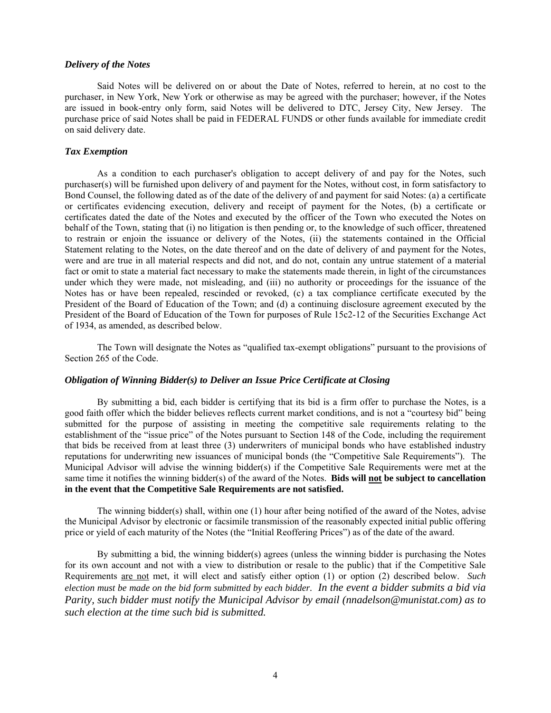#### *Delivery of the Notes*

Said Notes will be delivered on or about the Date of Notes, referred to herein, at no cost to the purchaser, in New York, New York or otherwise as may be agreed with the purchaser; however, if the Notes are issued in book-entry only form, said Notes will be delivered to DTC, Jersey City, New Jersey. The purchase price of said Notes shall be paid in FEDERAL FUNDS or other funds available for immediate credit on said delivery date.

#### *Tax Exemption*

As a condition to each purchaser's obligation to accept delivery of and pay for the Notes, such purchaser(s) will be furnished upon delivery of and payment for the Notes, without cost, in form satisfactory to Bond Counsel, the following dated as of the date of the delivery of and payment for said Notes: (a) a certificate or certificates evidencing execution, delivery and receipt of payment for the Notes, (b) a certificate or certificates dated the date of the Notes and executed by the officer of the Town who executed the Notes on behalf of the Town, stating that (i) no litigation is then pending or, to the knowledge of such officer, threatened to restrain or enjoin the issuance or delivery of the Notes, (ii) the statements contained in the Official Statement relating to the Notes, on the date thereof and on the date of delivery of and payment for the Notes, were and are true in all material respects and did not, and do not, contain any untrue statement of a material fact or omit to state a material fact necessary to make the statements made therein, in light of the circumstances under which they were made, not misleading, and (iii) no authority or proceedings for the issuance of the Notes has or have been repealed, rescinded or revoked, (c) a tax compliance certificate executed by the President of the Board of Education of the Town; and (d) a continuing disclosure agreement executed by the President of the Board of Education of the Town for purposes of Rule 15c2-12 of the Securities Exchange Act of 1934, as amended, as described below.

The Town will designate the Notes as "qualified tax-exempt obligations" pursuant to the provisions of Section 265 of the Code.

## *Obligation of Winning Bidder(s) to Deliver an Issue Price Certificate at Closing*

By submitting a bid, each bidder is certifying that its bid is a firm offer to purchase the Notes, is a good faith offer which the bidder believes reflects current market conditions, and is not a "courtesy bid" being submitted for the purpose of assisting in meeting the competitive sale requirements relating to the establishment of the "issue price" of the Notes pursuant to Section 148 of the Code, including the requirement that bids be received from at least three (3) underwriters of municipal bonds who have established industry reputations for underwriting new issuances of municipal bonds (the "Competitive Sale Requirements"). The Municipal Advisor will advise the winning bidder(s) if the Competitive Sale Requirements were met at the same time it notifies the winning bidder(s) of the award of the Notes. **Bids will not be subject to cancellation in the event that the Competitive Sale Requirements are not satisfied.**

The winning bidder(s) shall, within one (1) hour after being notified of the award of the Notes, advise the Municipal Advisor by electronic or facsimile transmission of the reasonably expected initial public offering price or yield of each maturity of the Notes (the "Initial Reoffering Prices") as of the date of the award.

By submitting a bid, the winning bidder(s) agrees (unless the winning bidder is purchasing the Notes for its own account and not with a view to distribution or resale to the public) that if the Competitive Sale Requirements are not met, it will elect and satisfy either option (1) or option (2) described below. *Such election must be made on the bid form submitted by each bidder. In the event a bidder submits a bid via Parity, such bidder must notify the Municipal Advisor by email (nnadelson@munistat.com) as to such election at the time such bid is submitted.*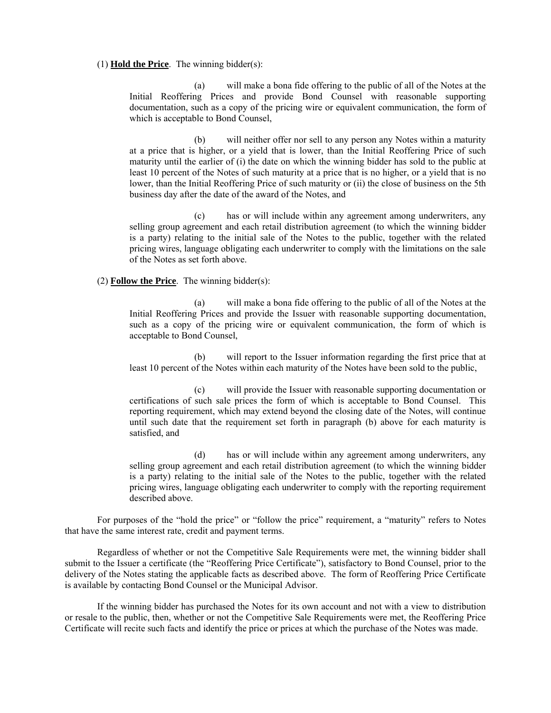#### (1) **Hold the Price**. The winning bidder(s):

(a) will make a bona fide offering to the public of all of the Notes at the Initial Reoffering Prices and provide Bond Counsel with reasonable supporting documentation, such as a copy of the pricing wire or equivalent communication, the form of which is acceptable to Bond Counsel,

(b) will neither offer nor sell to any person any Notes within a maturity at a price that is higher, or a yield that is lower, than the Initial Reoffering Price of such maturity until the earlier of (i) the date on which the winning bidder has sold to the public at least 10 percent of the Notes of such maturity at a price that is no higher, or a yield that is no lower, than the Initial Reoffering Price of such maturity or (ii) the close of business on the 5th business day after the date of the award of the Notes, and

(c) has or will include within any agreement among underwriters, any selling group agreement and each retail distribution agreement (to which the winning bidder is a party) relating to the initial sale of the Notes to the public, together with the related pricing wires, language obligating each underwriter to comply with the limitations on the sale of the Notes as set forth above.

## (2) **Follow the Price**. The winning bidder(s):

(a) will make a bona fide offering to the public of all of the Notes at the Initial Reoffering Prices and provide the Issuer with reasonable supporting documentation, such as a copy of the pricing wire or equivalent communication, the form of which is acceptable to Bond Counsel,

(b) will report to the Issuer information regarding the first price that at least 10 percent of the Notes within each maturity of the Notes have been sold to the public,

(c) will provide the Issuer with reasonable supporting documentation or certifications of such sale prices the form of which is acceptable to Bond Counsel. This reporting requirement, which may extend beyond the closing date of the Notes, will continue until such date that the requirement set forth in paragraph (b) above for each maturity is satisfied, and

(d) has or will include within any agreement among underwriters, any selling group agreement and each retail distribution agreement (to which the winning bidder is a party) relating to the initial sale of the Notes to the public, together with the related pricing wires, language obligating each underwriter to comply with the reporting requirement described above.

For purposes of the "hold the price" or "follow the price" requirement, a "maturity" refers to Notes that have the same interest rate, credit and payment terms.

Regardless of whether or not the Competitive Sale Requirements were met, the winning bidder shall submit to the Issuer a certificate (the "Reoffering Price Certificate"), satisfactory to Bond Counsel, prior to the delivery of the Notes stating the applicable facts as described above. The form of Reoffering Price Certificate is available by contacting Bond Counsel or the Municipal Advisor.

If the winning bidder has purchased the Notes for its own account and not with a view to distribution or resale to the public, then, whether or not the Competitive Sale Requirements were met, the Reoffering Price Certificate will recite such facts and identify the price or prices at which the purchase of the Notes was made.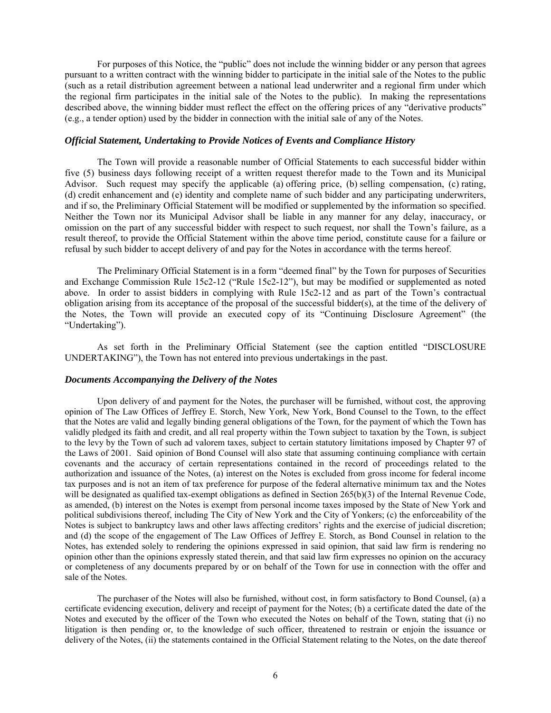For purposes of this Notice, the "public" does not include the winning bidder or any person that agrees pursuant to a written contract with the winning bidder to participate in the initial sale of the Notes to the public (such as a retail distribution agreement between a national lead underwriter and a regional firm under which the regional firm participates in the initial sale of the Notes to the public). In making the representations described above, the winning bidder must reflect the effect on the offering prices of any "derivative products" (e.g., a tender option) used by the bidder in connection with the initial sale of any of the Notes.

#### *Official Statement, Undertaking to Provide Notices of Events and Compliance History*

The Town will provide a reasonable number of Official Statements to each successful bidder within five (5) business days following receipt of a written request therefor made to the Town and its Municipal Advisor. Such request may specify the applicable (a) offering price, (b) selling compensation, (c) rating, (d) credit enhancement and (e) identity and complete name of such bidder and any participating underwriters, and if so, the Preliminary Official Statement will be modified or supplemented by the information so specified. Neither the Town nor its Municipal Advisor shall be liable in any manner for any delay, inaccuracy, or omission on the part of any successful bidder with respect to such request, nor shall the Town's failure, as a result thereof, to provide the Official Statement within the above time period, constitute cause for a failure or refusal by such bidder to accept delivery of and pay for the Notes in accordance with the terms hereof.

The Preliminary Official Statement is in a form "deemed final" by the Town for purposes of Securities and Exchange Commission Rule 15c2-12 ("Rule 15c2-12"), but may be modified or supplemented as noted above. In order to assist bidders in complying with Rule 15c2-12 and as part of the Town's contractual obligation arising from its acceptance of the proposal of the successful bidder(s), at the time of the delivery of the Notes, the Town will provide an executed copy of its "Continuing Disclosure Agreement" (the "Undertaking").

As set forth in the Preliminary Official Statement (see the caption entitled "DISCLOSURE UNDERTAKING"), the Town has not entered into previous undertakings in the past.

#### *Documents Accompanying the Delivery of the Notes*

Upon delivery of and payment for the Notes, the purchaser will be furnished, without cost, the approving opinion of The Law Offices of Jeffrey E. Storch, New York, New York, Bond Counsel to the Town, to the effect that the Notes are valid and legally binding general obligations of the Town, for the payment of which the Town has validly pledged its faith and credit, and all real property within the Town subject to taxation by the Town, is subject to the levy by the Town of such ad valorem taxes, subject to certain statutory limitations imposed by Chapter 97 of the Laws of 2001. Said opinion of Bond Counsel will also state that assuming continuing compliance with certain covenants and the accuracy of certain representations contained in the record of proceedings related to the authorization and issuance of the Notes, (a) interest on the Notes is excluded from gross income for federal income tax purposes and is not an item of tax preference for purpose of the federal alternative minimum tax and the Notes will be designated as qualified tax-exempt obligations as defined in Section 265(b)(3) of the Internal Revenue Code, as amended, (b) interest on the Notes is exempt from personal income taxes imposed by the State of New York and political subdivisions thereof, including The City of New York and the City of Yonkers; (c) the enforceability of the Notes is subject to bankruptcy laws and other laws affecting creditors' rights and the exercise of judicial discretion; and (d) the scope of the engagement of The Law Offices of Jeffrey E. Storch, as Bond Counsel in relation to the Notes, has extended solely to rendering the opinions expressed in said opinion, that said law firm is rendering no opinion other than the opinions expressly stated therein, and that said law firm expresses no opinion on the accuracy or completeness of any documents prepared by or on behalf of the Town for use in connection with the offer and sale of the Notes.

 The purchaser of the Notes will also be furnished, without cost, in form satisfactory to Bond Counsel, (a) a certificate evidencing execution, delivery and receipt of payment for the Notes; (b) a certificate dated the date of the Notes and executed by the officer of the Town who executed the Notes on behalf of the Town, stating that (i) no litigation is then pending or, to the knowledge of such officer, threatened to restrain or enjoin the issuance or delivery of the Notes, (ii) the statements contained in the Official Statement relating to the Notes, on the date thereof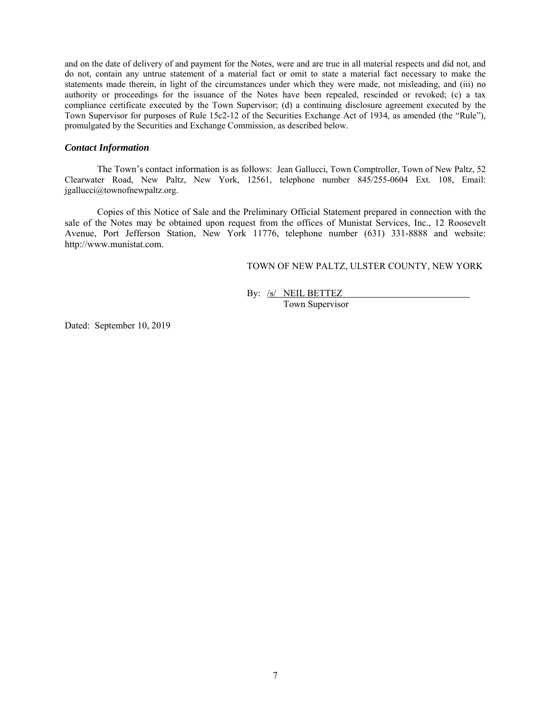and on the date of delivery of and payment for the Notes, were and are true in all material respects and did not, and do not, contain any untrue statement of a material fact or omit to state a material fact necessary to make the statements made therein, in light of the circumstances under which they were made, not misleading, and (iii) no authority or proceedings for the issuance of the Notes have been repealed, rescinded or revoked; (c) a tax compliance certificate executed by the Town Supervisor; (d) a continuing disclosure agreement executed by the Town Supervisor for purposes of Rule 15c2-12 of the Securities Exchange Act of 1934, as amended (the "Rule"), promulgated by the Securities and Exchange Commission, as described below.

#### *Contact Information*

The Town's contact information is as follows: Jean Gallucci, Town Comptroller, Town of New Paltz, 52 Clearwater Road, New Paltz, New York, 12561, telephone number 845/255-0604 Ext. 108, Email:  $j$ gallucci $@$ townofnewpaltz.org.

Copies of this Notice of Sale and the Preliminary Official Statement prepared in connection with the sale of the Notes may be obtained upon request from the offices of Munistat Services, Inc., 12 Roosevelt Avenue, Port Jefferson Station, New York 11776, telephone number (631) 331-8888 and website: http://www.munistat.com.

TOWN OF NEW PALTZ, ULSTER COUNTY, NEW YORK

By: /s/ NEIL BETTEZ

Town Supervisor

Dated: September 10, 2019